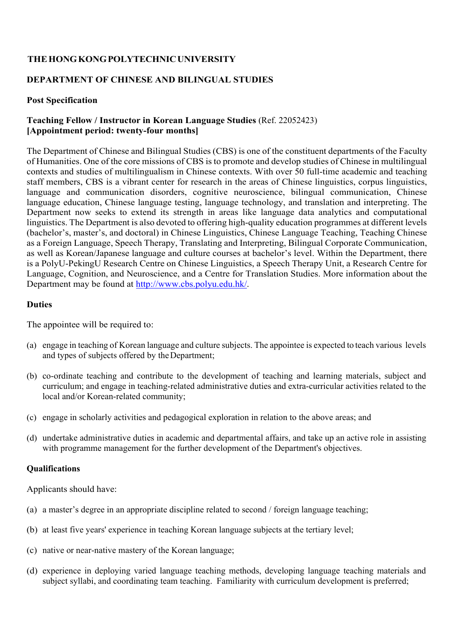# **THE HONG KONG POLYTECHNIC UNIVERSITY**

# **DEPARTMENT OF CHINESE AND BILINGUAL STUDIES**

## **Post Specification**

# **Teaching Fellow / Instructor in Korean Language Studies** (Ref. 22052423) **[Appointment period: twenty-four months]**

The Department of Chinese and Bilingual Studies (CBS) is one of the constituent departments of the Faculty of Humanities. One of the core missions of CBS is to promote and develop studies of Chinese in multilingual contexts and studies of multilingualism in Chinese contexts. With over 50 full-time academic and teaching staff members, CBS is a vibrant center for research in the areas of Chinese linguistics, corpus linguistics, language and communication disorders, cognitive neuroscience, bilingual communication, Chinese language education, Chinese language testing, language technology, and translation and interpreting. The Department now seeks to extend its strength in areas like language data analytics and computational linguistics. The Department is also devoted to offering high-quality education programmes at different levels (bachelor's, master's, and doctoral) in Chinese Linguistics, Chinese Language Teaching, Teaching Chinese as a Foreign Language, Speech Therapy, Translating and Interpreting, Bilingual Corporate Communication, as well as Korean/Japanese language and culture courses at bachelor's level. Within the Department, there is a PolyU-PekingU Research Centre on Chinese Linguistics, a Speech Therapy Unit, a Research Centre for Language, Cognition, and Neuroscience, and a Centre for Translation Studies. More information about the Department may be found at http://www.cbs.polyu.edu.hk/.

#### **Duties**

The appointee will be required to:

- (a) engage in teaching of Korean language and culture subjects. The appointee is expected to teach various levels and types of subjects offered by the Department;
- (b) co-ordinate teaching and contribute to the development of teaching and learning materials, subject and curriculum; and engage in teaching-related administrative duties and extra-curricular activities related to the local and/or Korean-related community;
- (c) engage in scholarly activities and pedagogical exploration in relation to the above areas; and
- (d) undertake administrative duties in academic and departmental affairs, and take up an active role in assisting with programme management for the further development of the Department's objectives.

## **Qualifications**

Applicants should have:

- (a) a master's degree in an appropriate discipline related to second / foreign language teaching;
- (b) at least five years' experience in teaching Korean language subjects at the tertiary level;
- (c) native or near-native mastery of the Korean language;
- (d) experience in deploying varied language teaching methods, developing language teaching materials and subject syllabi, and coordinating team teaching. Familiarity with curriculum development is preferred;